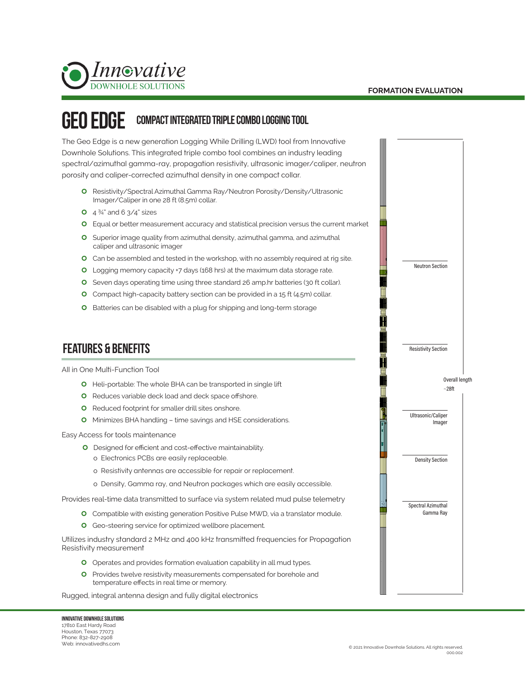

#### geo Edge Compact Integrated triple combo Logging Tool

The Geo Edge is a new generation Logging While Drilling (LWD) tool from Innovative Downhole Solutions. This integrated triple combo tool combines an industry leading spectral/azimuthal gamma-ray, propagation resistivity, ultrasonic imager/caliper, neutron porosity and caliper-corrected azimuthal density in one compact collar.

- | Resistivity/Spectral Azimuthal Gamma Ray/Neutron Porosity/Density/Ultrasonic Imager/Caliper in one 28 ft (8.5m) collar.
- **0**  $4\frac{3}{4}$  and 6  $3/4$  sizes
- | Equal or better measurement accuracy and statistical precision versus the current market
- **O** Superior image quality from azimuthal density, azimuthal gamma, and azimuthal caliper and ultrasonic imager
- **O** Can be assembled and tested in the workshop, with no assembly required at rig site.
- O Logging memory capacity +7 days (168 hrs) at the maximum data storage rate.
- **O** Seven days operating time using three standard 26 amp.hr batteries (30 ft collar).
- **O** Compact high-capacity battery section can be provided in a 15 ft (4.5m) collar.
- **O** Batteries can be disabled with a plug for shipping and long-term storage

## features & benefits

All in One Multi-Function Tool

- **O** Heli-portable: The whole BHA can be transported in single lift
- **O** Reduces variable deck load and deck space offshore.
- **O** Reduced footprint for smaller drill sites onshore.
- **O** Minimizes BHA handling time savings and HSE considerations.

Easy Access for tools maintenance

- **O** Designed for efficient and cost-effective maintainability.
	- o Electronics PCBs are easily replaceable.
	- o Resistivity antennas are accessible for repair or replacement.
	- o Density, Gamma ray, and Neutron packages which are easily accessible.

Provides real-time data transmitted to surface via system related mud pulse telemetry

- **O** Compatible with existing generation Positive Pulse MWD, via a translator module.
- **O** Geo-steering service for optimized wellbore placement.

Utilizes industry standard 2 MHz and 400 kHz transmitted frequencies for Propagation Resistivity measurement

- **O** Operates and provides formation evaluation capability in all mud types.
- **O** Provides twelve resistivity measurements compensated for borehole and temperature effects in real time or memory.

Rugged, integral antenna design and fully digital electronics

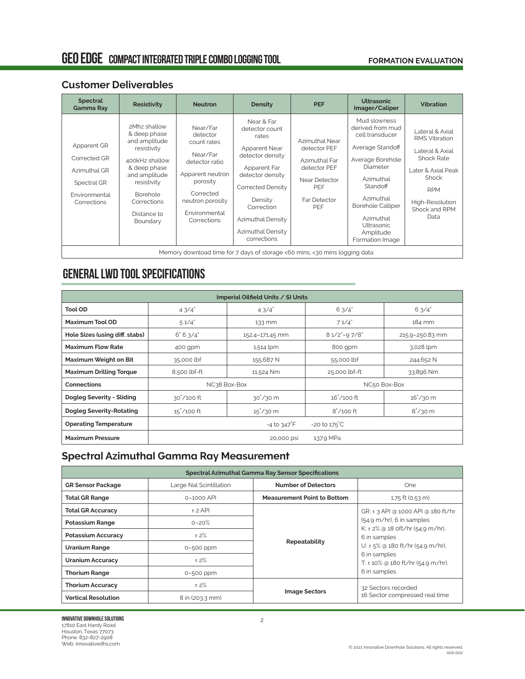# GEO EDGE COMPACT INTEGRATED TRIPLE COMBO LOGGING TOOL

#### **FORMATION EVALUATION**

#### **Customer Deliverables**

| <b>Spectral</b><br><b>Gamma Ray</b>                                                        | <b>Resistivity</b>                                                                                                                                                                   | <b>Neutron</b>                                                                                                                                                     | Density                                                                                                                                                                                                               | <b>PEF</b>                                                                                                     | <b>Ultrasonic</b><br>Imager/Caliper                                                                                                                                                                                                         | <b>Vibration</b>                                                                                                                                                         |
|--------------------------------------------------------------------------------------------|--------------------------------------------------------------------------------------------------------------------------------------------------------------------------------------|--------------------------------------------------------------------------------------------------------------------------------------------------------------------|-----------------------------------------------------------------------------------------------------------------------------------------------------------------------------------------------------------------------|----------------------------------------------------------------------------------------------------------------|---------------------------------------------------------------------------------------------------------------------------------------------------------------------------------------------------------------------------------------------|--------------------------------------------------------------------------------------------------------------------------------------------------------------------------|
| Apparent GR<br>Corrected GR<br>Azimuthal GR<br>Spectral GR<br>Environmental<br>Corrections | 2Mhz shallow<br>& deep phase<br>and amplitude<br>resistivity<br>400kHz shallow<br>& deep phase<br>and amplitude<br>resistivity<br>Borehole<br>Corrections<br>Distance to<br>Boundary | Near/Far<br>detector<br>count rates<br>Near/Far<br>detector ratio<br>Apparent neutron<br>porosity<br>Corrected<br>neutron porosity<br>Environmental<br>Corrections | Near & Far<br>detector count<br>rates<br>Apparent Near<br>detector density<br>Apparent Far<br>detector density<br>Corrected Density<br>Density<br>Correction<br>Azimuthal Density<br>Azimuthal Density<br>corrections | Azimuthal Near<br>detector PEF<br>Azimuthal Far<br>detector PEF<br>Near Detector<br>PEF<br>Far Detector<br>PEF | Mud slowness<br>derived from mud<br>cell transducer<br>Average Standoff<br>Average Borehole<br>Diameter<br>Azimuthal<br>Standoff<br>Azimuthal<br><b>Borehole Calliper</b><br>Azimuthal<br><b>Ultrasonic</b><br>Amplitude<br>Formation Image | Lateral & Axial<br><b>RMS Vibration</b><br>Lateral & Axial<br><b>Shock Rate</b><br>Later & Axial Peak<br>Shock<br><b>RPM</b><br>High-Resolution<br>Shock and RPM<br>Data |
| Memory download time for 7 days of storage <60 mins, <30 mins logging data                 |                                                                                                                                                                                      |                                                                                                                                                                    |                                                                                                                                                                                                                       |                                                                                                                |                                                                                                                                                                                                                                             |                                                                                                                                                                          |

# General LWD tool specifications

| Imperial Oilfield Units / SI Units |                                                                 |                             |                     |                          |
|------------------------------------|-----------------------------------------------------------------|-----------------------------|---------------------|--------------------------|
| <b>Tool OD</b>                     | 43/4"                                                           | 43/4"                       | 6.3/4"              | 63/4"                    |
| Maximum Tool OD                    | 51/4"                                                           | 133 mm                      | 71/4"               | 184 mm                   |
| Hole Sizes (using diff. stabs)     | 6" 6' 3/4"                                                      | 152.4-171.45 mm             | $81/2$ "-97/8"      | 215.9-250.83 mm          |
| <b>Maximum Flow Rate</b>           | 400 gpm                                                         | 1,514 lpm                   | 800 gpm             | 3,028 lpm                |
| Maximum Weight on Bit              | 35,000 lbf                                                      | 155,687 N                   | 55,000 lbf          | 244,652 N                |
| <b>Maximum Drilling Torque</b>     | 8,500 lbf-ft                                                    | 11,524 Nm                   | 25,000 lbf-ft       | 33,896 Nm                |
| <b>Connections</b>                 | NC38 Box-Box<br>NC50 Box-Box                                    |                             |                     |                          |
| Dogleg Severity - Sliding          | $30^{\circ}/100$ ft                                             | $30^{\circ}/30$ m           | $16^{\circ}/100$ ft | $16^{\circ}/30$ m        |
| Dogleg Severity-Rotating           | $15^{\circ}/100$ ft                                             | $15^{\degree}/30 \text{ m}$ | $8^{\circ}/100$ ft  | $8^{\circ}/30 \text{ m}$ |
| <b>Operating Temperature</b>       | $-20 \text{ to } 175^{\circ} \text{C}$<br>$-4$ to $347^\circ$ F |                             |                     |                          |
| <b>Maximum Pressure</b>            | 137.9 MPa<br>20,000 psi                                         |                             |                     |                          |

### **Spectral Azimuthal Gamma Ray Measurement**

| Spectral Azimuthal Gamma Ray Sensor Specifications |                         |                                    |                                                                              |  |  |
|----------------------------------------------------|-------------------------|------------------------------------|------------------------------------------------------------------------------|--|--|
| <b>GR Sensor Package</b>                           | Large Nal Scintillation | <b>Number of Detectors</b>         | One                                                                          |  |  |
| <b>Total GR Range</b>                              | $0 - 1000$ API          | <b>Measurement Point to Bottom</b> | 1.75 ft (0.53 m)                                                             |  |  |
| <b>Total GR Accuracy</b>                           | $±$ 2 API               |                                    | GR: ± 3 API @ 1000 API @ 180 ft/hr                                           |  |  |
| <b>Potassium Range</b>                             | $0 - 20%$               |                                    | $(54.9 \text{ m/hr})$ , 6 in samples<br>K: $\pm$ 2% @ 18 oft/hr (54.9 m/hr), |  |  |
| Potassium Accuracy                                 | ± 2%                    |                                    | 6 in samples<br>U: $\pm$ 5% @ 180 ft/hr (54.9 m/hr),                         |  |  |
| <b>Uranium Range</b>                               | 0-500 ppm               | Repeatability                      |                                                                              |  |  |
| <b>Uranium Accuracy</b>                            | ± 2%                    |                                    | 6 in samples<br>T: $\pm$ 10% @ 180 ft/hr (54.9 m/hr),                        |  |  |
| <b>Thorium Range</b>                               | 0-500 ppm               |                                    | 6 in samples                                                                 |  |  |
| <b>Thorium Accuracy</b>                            | ± 2%                    |                                    | 32 Sectors recorded                                                          |  |  |
| <b>Vertical Resolution</b>                         | 8 in (203.3 mm)         | <b>Image Sectors</b>               | 16 Sector compressed real time                                               |  |  |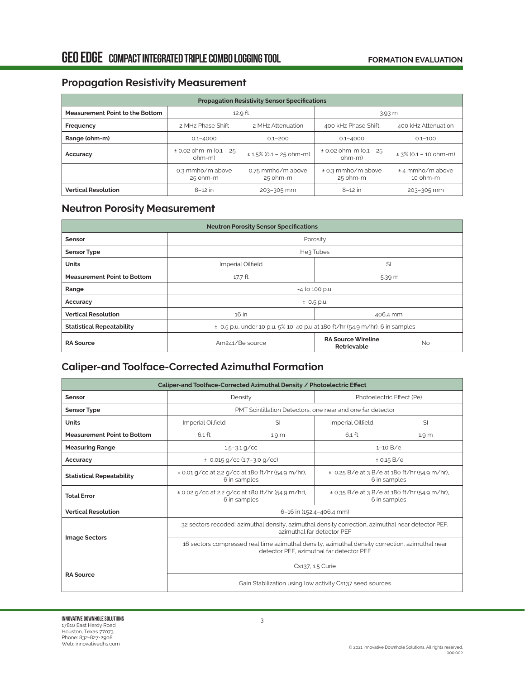### **Propagation Resistivity Measurement**

| <b>Propagation Resistivity Sensor Specifications</b> |                                       |                               |                                     |                                |  |
|------------------------------------------------------|---------------------------------------|-------------------------------|-------------------------------------|--------------------------------|--|
| <b>Measurement Point to the Bottom</b>               | 12.9 ft                               |                               | 3.93 m                              |                                |  |
| Frequency                                            | 2 MHz Phase Shift                     | 2 MHz Attenuation             | 400 kHz Phase Shift                 | 400 kHz Attenuation            |  |
| Range (ohm-m)                                        | $0.1 - 4000$                          | $0.1 - 200$                   | $0.1 - 4000$                        | $0.1 - 100$                    |  |
| Accuracy                                             | $\pm$ 0.02 ohm-m (0.1 - 25<br>$ohm-m$ | $± 1.5\% (0.1 – 25 ohm-m)$    | $± 0.02$ ohm-m (0.1 - 25<br>$ohm-m$ | $\pm$ 3% (0.1 – 10 ohm-m)      |  |
|                                                      | 0.3 mmho/m above<br>25 ohm-m          | 0.75 mmho/m above<br>25 ohm-m | ± 0.3 mmho/m above<br>25 ohm-m      | ± 4 mmho/m above<br>$10$ ohm-m |  |
| <b>Vertical Resolution</b>                           | $8-12$ in                             | 203-305 mm                    | $8-12$ in                           | 203-305 mm                     |  |

# **Neutron Porosity Measurement**

| <b>Neutron Porosity Sensor Specifications</b> |                                                                                  |                                          |           |  |
|-----------------------------------------------|----------------------------------------------------------------------------------|------------------------------------------|-----------|--|
| Sensor                                        | Porosity                                                                         |                                          |           |  |
| <b>Sensor Type</b>                            | He3 Tubes                                                                        |                                          |           |  |
| <b>Units</b>                                  | Imperial Oilfield<br>SI                                                          |                                          |           |  |
| <b>Measurement Point to Bottom</b>            | 17.7 ft<br>5.39 m                                                                |                                          |           |  |
| Range                                         | -4 to 100 p.u.                                                                   |                                          |           |  |
| Accuracy                                      | $\pm$ 0.5 p.u.                                                                   |                                          |           |  |
| <b>Vertical Resolution</b>                    | 16 in<br>406.4 mm                                                                |                                          |           |  |
| <b>Statistical Repeatability</b>              | $\pm$ 0.5 p.u. under 10 p.u, 5% 10-40 p.u at 180 ft/hr (54.9 m/hr), 6 in samples |                                          |           |  |
| <b>RA Source</b>                              | Am241/Be source                                                                  | <b>RA Source Wireline</b><br>Retrievable | <b>No</b> |  |

### **Caliper-and Toolface-Corrected Azimuthal Formation**

| Caliper-and Toolface-Corrected Azimuthal Density / Photoelectric Effect |                                                                                                                                             |       |                                                               |                  |  |
|-------------------------------------------------------------------------|---------------------------------------------------------------------------------------------------------------------------------------------|-------|---------------------------------------------------------------|------------------|--|
| Sensor                                                                  | Density                                                                                                                                     |       | Photoelectric Effect (Pe)                                     |                  |  |
| <b>Sensor Type</b>                                                      | PMT Scintillation Detectors, one near and one far detector                                                                                  |       |                                                               |                  |  |
| <b>Units</b>                                                            | Imperial Oilfield                                                                                                                           | SI    | Imperial Oilfield                                             | <b>SI</b>        |  |
| <b>Measurement Point to Bottom</b>                                      | 6.1 ft                                                                                                                                      | 1.9 m | $6.1$ ft                                                      | 1.9 <sub>m</sub> |  |
| <b>Measuring Range</b>                                                  | $1.5 - 3.1$ g/cc                                                                                                                            |       | $1 - 10 B/e$                                                  |                  |  |
| Accuracy                                                                | $\pm$ 0.015 g/cc (1.7-3.0 g/cc)                                                                                                             |       | ± 0.15 B/e                                                    |                  |  |
| <b>Statistical Repeatability</b>                                        | $\pm$ 0.01 g/cc at 2.2 g/cc at 180 ft/hr (54.9 m/hr),<br>6 in samples                                                                       |       | ± 0.25 B/e at 3 B/e at 180 ft/hr (54.9 m/hr),<br>6 in samples |                  |  |
| <b>Total Error</b>                                                      | ± 0.02 g/cc at 2.2 g/cc at 180 ft/hr (54.9 m/hr),<br>6 in samples                                                                           |       | ± 0.35 B/e at 3 B/e at 180 ft/hr (54.9 m/hr),<br>6 in samples |                  |  |
| <b>Vertical Resolution</b>                                              | 6-16 in (152.4-406.4 mm)                                                                                                                    |       |                                                               |                  |  |
|                                                                         | 32 sectors recoded: azimuthal density, azimuthal density correction, azimuthal near detector PEF,<br>azimuthal far detector PEF             |       |                                                               |                  |  |
| <b>Image Sectors</b>                                                    | 16 sectors compressed real time azimuthal density, azimuthal density correction, azimuthal near<br>detector PEF, azimuthal far detector PEF |       |                                                               |                  |  |
|                                                                         | Cs137, 1.5 Curie                                                                                                                            |       |                                                               |                  |  |
| <b>RA Source</b>                                                        | Gain Stabilization using low activity Cs137 seed sources                                                                                    |       |                                                               |                  |  |